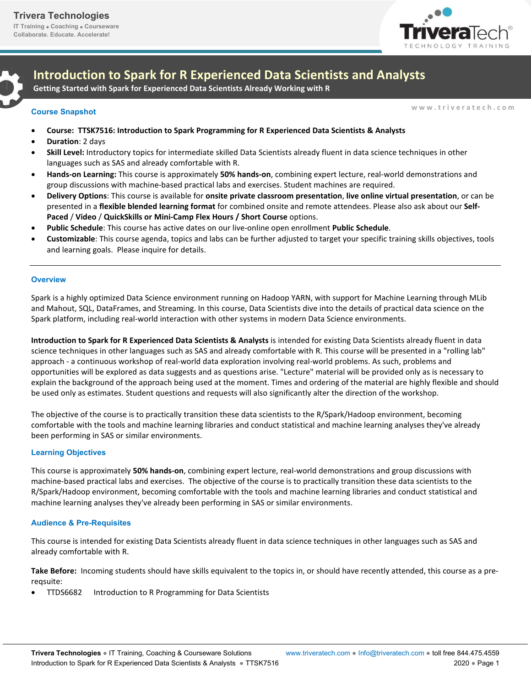**Collaborate. Educate. Accelerate!**



**Introduction to Spark for R Experienced Data Scientists and Analysts** 

**Getting Started with Spark for Experienced Data Scientists Already Working with R**

**w w w . t r i v e r a t e c h . c o m Course Snapshot** 

- **Course: TTSK7516: Introduction to Spark Programming for R Experienced Data Scientists & Analysts**
- **Duration**: 2 days
- **Skill Level:** Introductory topics for intermediate skilled Data Scientists already fluent in data science techniques in other languages such as SAS and already comfortable with R.
- **Hands-on Learning:** This course is approximately **50% hands-on**, combining expert lecture, real-world demonstrations and group discussions with machine-based practical labs and exercises. Student machines are required.
- **Delivery Options**: This course is available for **onsite private classroom presentation**, **live online virtual presentation**, or can be presented in a **flexible blended learning format** for combined onsite and remote attendees. Please also ask about our **Self-Paced** / **Video** / **QuickSkills or Mini-Camp Flex Hours / Short Course** options.
- **Public Schedule**: This course has active dates on our live-online open enrollment **Public Schedule**.
- **Customizable**: This course agenda, topics and labs can be further adjusted to target your specific training skills objectives, tools and learning goals. Please inquire for details.

#### **Overview**

Spark is a highly optimized Data Science environment running on Hadoop YARN, with support for Machine Learning through MLib and Mahout, SQL, DataFrames, and Streaming. In this course, Data Scientists dive into the details of practical data science on the Spark platform, including real-world interaction with other systems in modern Data Science environments.

**Introduction to Spark for R Experienced Data Scientists & Analysts** is intended for existing Data Scientists already fluent in data science techniques in other languages such as SAS and already comfortable with R. This course will be presented in a "rolling lab" approach - a continuous workshop of real-world data exploration involving real-world problems. As such, problems and opportunities will be explored as data suggests and as questions arise. "Lecture" material will be provided only as is necessary to explain the background of the approach being used at the moment. Times and ordering of the material are highly flexible and should be used only as estimates. Student questions and requests will also significantly alter the direction of the workshop.

The objective of the course is to practically transition these data scientists to the R/Spark/Hadoop environment, becoming comfortable with the tools and machine learning libraries and conduct statistical and machine learning analyses they've already been performing in SAS or similar environments.

# **Learning Objectives**

This course is approximately **50% hands-on**, combining expert lecture, real-world demonstrations and group discussions with machine-based practical labs and exercises. The objective of the course is to practically transition these data scientists to the R/Spark/Hadoop environment, becoming comfortable with the tools and machine learning libraries and conduct statistical and machine learning analyses they've already been performing in SAS or similar environments.

# **Audience & Pre-Requisites**

This course is intended for existing Data Scientists already fluent in data science techniques in other languages such as SAS and already comfortable with R.

**Take Before:** Incoming students should have skills equivalent to the topics in, or should have recently attended, this course as a prereqsuite:

TTDS6682 Introduction to R Programming for Data Scientists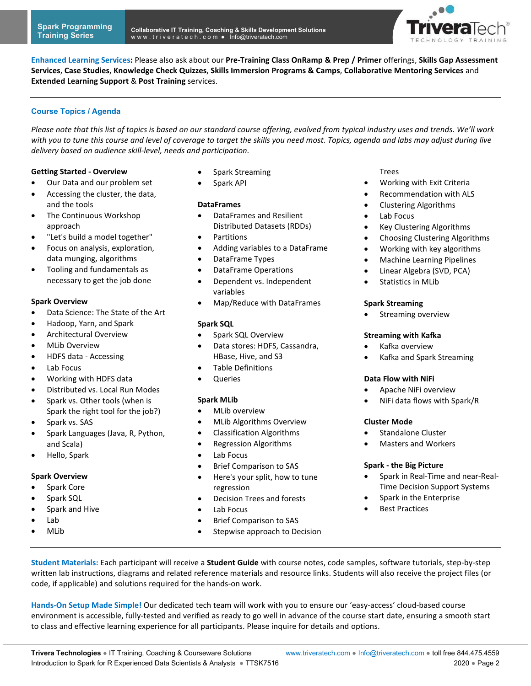

**Enhanced Learning Services:** Please also ask about our **Pre-Training Class OnRamp & Prep / Primer** offerings, **Skills Gap Assessment Services**, **Case Studies**, **Knowledge Check Quizzes**, **Skills Immersion Programs & Camps**, **Collaborative Mentoring Services** and **Extended Learning Support** & **Post Training** services.

# **Course Topics / Agenda**

*Please note that this list of topics is based on our standard course offering, evolved from typical industry uses and trends. We'll work with you to tune this course and level of coverage to target the skills you need most. Topics, agenda and labs may adjust during live delivery based on audience skill-level, needs and participation.* 

# **Getting Started - Overview**

- Our Data and our problem set
- Accessing the cluster, the data, and the tools
- The Continuous Workshop approach
- "Let's build a model together"
- Focus on analysis, exploration, data munging, algorithms
- Tooling and fundamentals as necessary to get the job done

#### **Spark Overview**

- Data Science: The State of the Art
- Hadoop, Yarn, and Spark
- Architectural Overview
- MLib Overview
- HDFS data Accessing
- Lab Focus
- Working with HDFS data
- Distributed vs. Local Run Modes
- Spark vs. Other tools (when is Spark the right tool for the job?)
- Spark vs. SAS
- Spark Languages (Java, R, Python, and Scala)
- Hello, Spark

# **Spark Overview**

- Spark Core
- Spark SQL
- Spark and Hive
- Lab
- MLib
- Spark Streaming
- Spark API

# **DataFrames**

- DataFrames and Resilient Distributed Datasets (RDDs)
- Partitions
- Adding variables to a DataFrame
- DataFrame Types
- DataFrame Operations
- Dependent vs. Independent variables
- Map/Reduce with DataFrames

# **Spark SQL**

- Spark SQL Overview
- Data stores: HDFS, Cassandra, HBase, Hive, and S3
- Table Definitions
- Queries

# **Spark MLib**

- MLib overview
- MLib Algorithms Overview
- Classification Algorithms
- Regression Algorithms
- Lab Focus
- Brief Comparison to SAS
- Here's your split, how to tune regression
- Decision Trees and forests
- Lab Focus
- Brief Comparison to SAS
- Stepwise approach to Decision

# Trees

- Working with Exit Criteria
- Recommendation with ALS
- Clustering Algorithms
- Lab Focus
- Key Clustering Algorithms
- Choosing Clustering Algorithms
- Working with key algorithms
- Machine Learning Pipelines
- Linear Algebra (SVD, PCA)
- Statistics in MLib

#### **Spark Streaming**

**•** Streaming overview

# **Streaming with Kafka**

- Kafka overview
- Kafka and Spark Streaming

# **Data Flow with NiFi**

- Apache NiFi overview
- NiFi data flows with Spark/R

# **Cluster Mode**

- Standalone Cluster
- Masters and Workers

# **Spark - the Big Picture**

- Spark in Real-Time and near-Real-Time Decision Support Systems
- Spark in the Enterprise
- Best Practices
- **Student Materials:** Each participant will receive a **Student Guide** with course notes, code samples, software tutorials, step-by-step written lab instructions, diagrams and related reference materials and resource links. Students will also receive the project files (or code, if applicable) and solutions required for the hands-on work.

**Hands-On Setup Made Simple!** Our dedicated tech team will work with you to ensure our 'easy-access' cloud-based course environment is accessible, fully-tested and verified as ready to go well in advance of the course start date, ensuring a smooth start to class and effective learning experience for all participants. Please inquire for details and options.